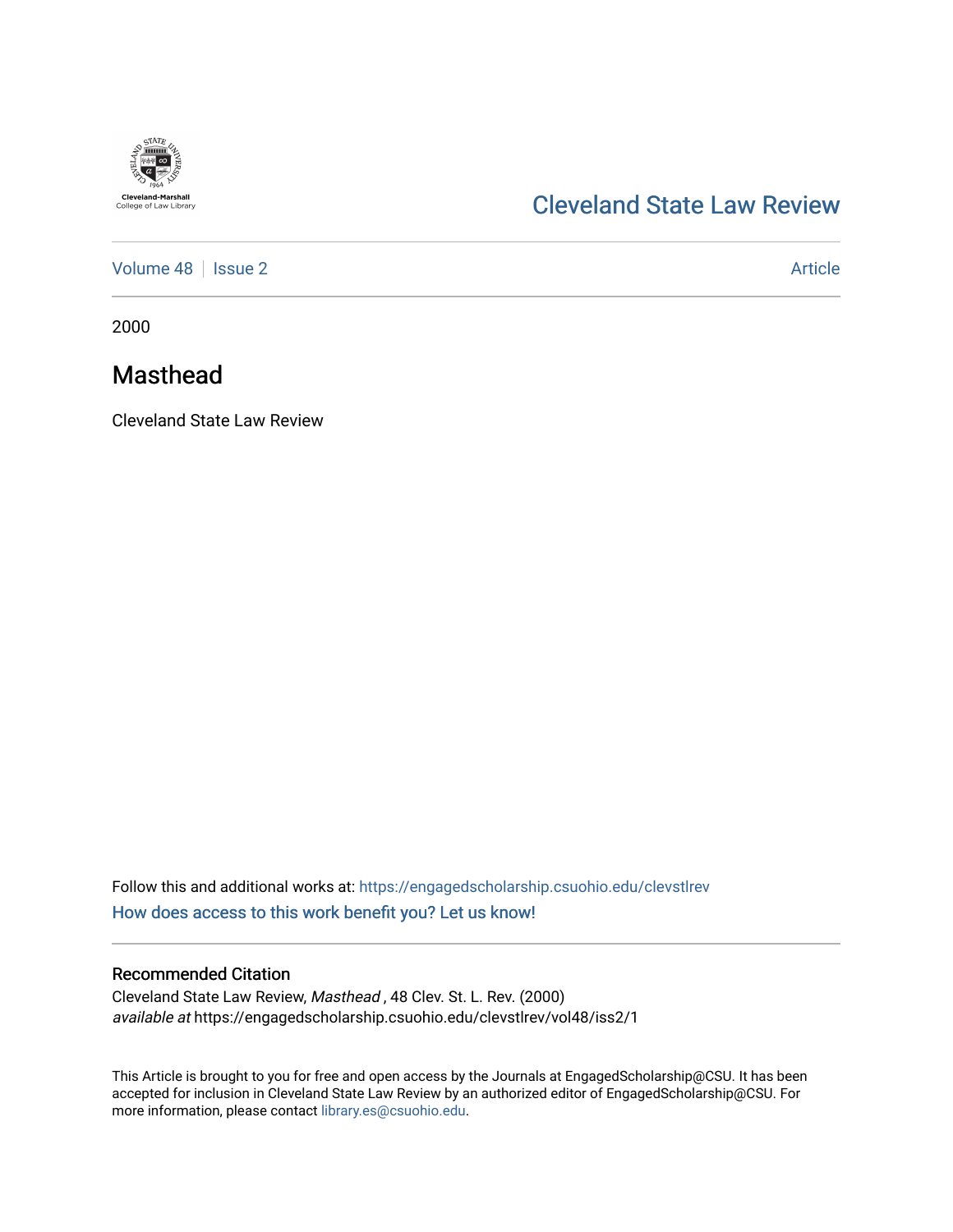

# [Cleveland State Law Review](https://engagedscholarship.csuohio.edu/clevstlrev)

[Volume 48](https://engagedscholarship.csuohio.edu/clevstlrev/vol48) | [Issue 2](https://engagedscholarship.csuohio.edu/clevstlrev/vol48/iss2) Article

2000

## Masthead

Cleveland State Law Review

Follow this and additional works at: [https://engagedscholarship.csuohio.edu/clevstlrev](https://engagedscholarship.csuohio.edu/clevstlrev?utm_source=engagedscholarship.csuohio.edu%2Fclevstlrev%2Fvol48%2Fiss2%2F1&utm_medium=PDF&utm_campaign=PDFCoverPages) [How does access to this work benefit you? Let us know!](http://library.csuohio.edu/engaged/)

## Recommended Citation

Cleveland State Law Review, Masthead , 48 Clev. St. L. Rev. (2000) available at https://engagedscholarship.csuohio.edu/clevstlrev/vol48/iss2/1

This Article is brought to you for free and open access by the Journals at EngagedScholarship@CSU. It has been accepted for inclusion in Cleveland State Law Review by an authorized editor of EngagedScholarship@CSU. For more information, please contact [library.es@csuohio.edu](mailto:library.es@csuohio.edu).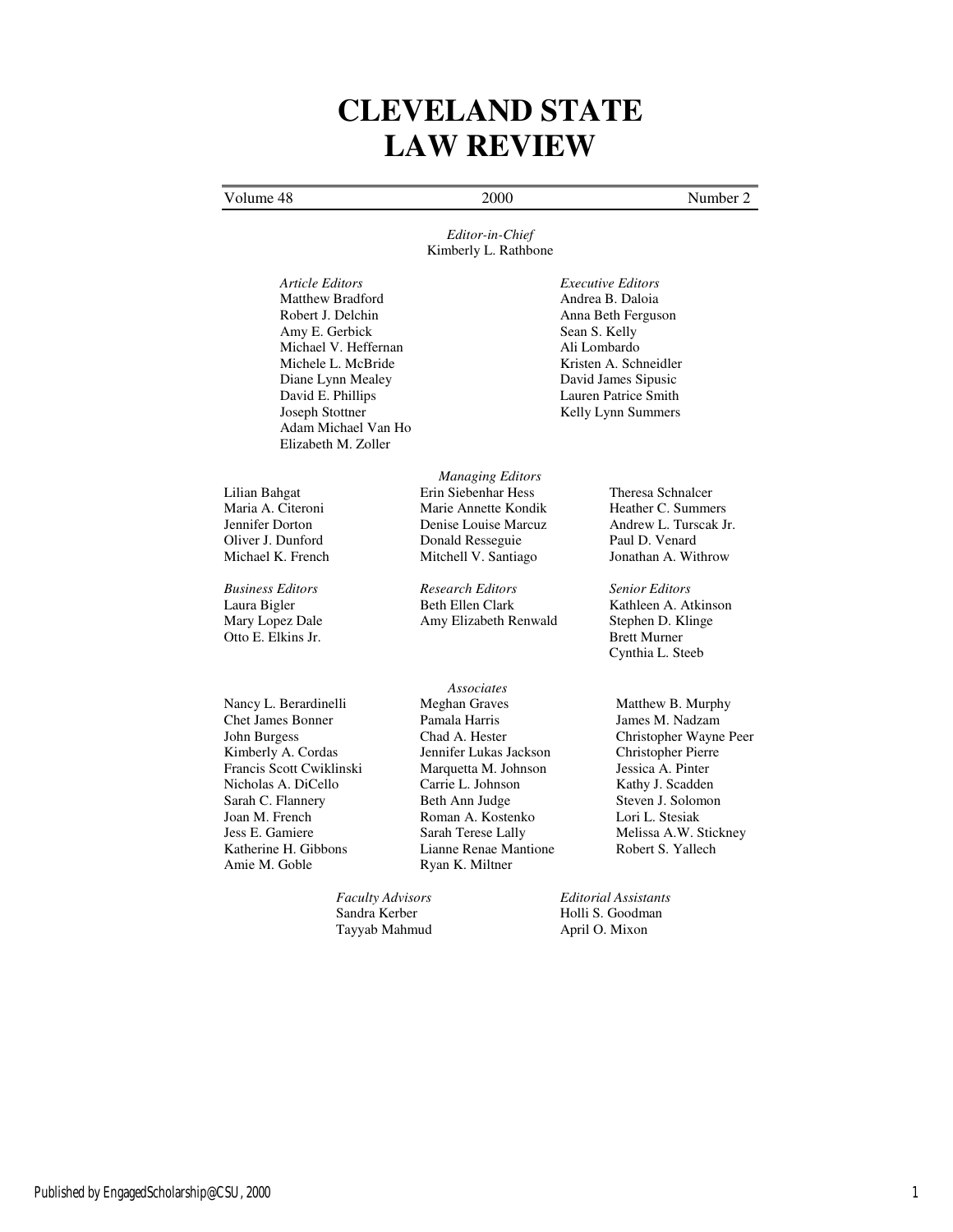# **CLEVELAND STATE LAW REVIEW**

Volume 48 2000 Number 2

*Editor-in-Chief* Kimberly L. Rathbone

*Article Editors Executive Editors* Matthew Bradford<br>
Robert J. Delchin<br>
Anna Beth Fergus Anna Beth Ferguson Amy E. Gerbick Sean S. Kelly Michael V. Heffernan Ali Lombardo Michele L. McBride **Kristen A. Schneidler**<br>
Diane Lynn Mealey **Carl Contained A. Schneidler**<br>
David James Sipusic Diane Lynn Mealey<br>David E. Phillips Lauren Patrice Smith Joseph Stottner Kelly Lynn Summers Adam Michael Van Ho Elizabeth M. Zoller

Otto E. Elkins Jr. Brett Murner

Nancy L. Berardinelli Chet James Bonner John Burgess Kimberly A. Cordas Francis Scott Cwiklinski Nicholas A. DiCello Sarah C. Flannery Joan M. French Jess E. Gamiere Katherine H. Gibbons Amie M. Goble

> *Faculty Advisors Editorial Assistants*  Sandra Kerber Holli S. Goodman Tayyab Mahmud April O. Mixon

*Managing Editors*  Lilian Bahgat Erin Siebenhar Hess Theresa Schnalcer Maria A. Citeroni **Marie Annette Kondik** Heather C. Summers<br>
Jennifer Dorton **Denise Louise Marcuz** Andrew L. Turscak Jr. Jennifer Dorton Denise Louise Marcuz Andrew L. Turs<br>
Oliver J. Dunford Donald Resseguie Paul D. Venard Oliver J. Dunford Donald Resseguie<br>
Michael K. French Mitchell V. Santiago

*Business Editors Research Editors Senior Editors* Laura Bigler Beth Ellen Clark Kathleen A. Atkinson<br>Mary Lopez Dale Amy Elizabeth Renwald Stephen D. Klinge Amy Elizabeth Renwald Stephen D. Klinge

> *Associates*  Meghan Graves Pamala Harris Chad A. Hester Jennifer Lukas Jackson Marquetta M. Johnson Carrie L. Johnson Beth Ann Judge Roman A. Kostenko Sarah Terese Lally Lianne Renae Mantione Ryan K. Miltner

Jonathan A. Withrow Cynthia L. Steeb

> Matthew B. Murphy James M. Nadzam Christopher Wayne Peer Christopher Pierre Jessica A. Pinter Kathy J. Scadden Steven J. Solomon Lori L. Stesiak Melissa A.W. Stickney Robert S. Yallech